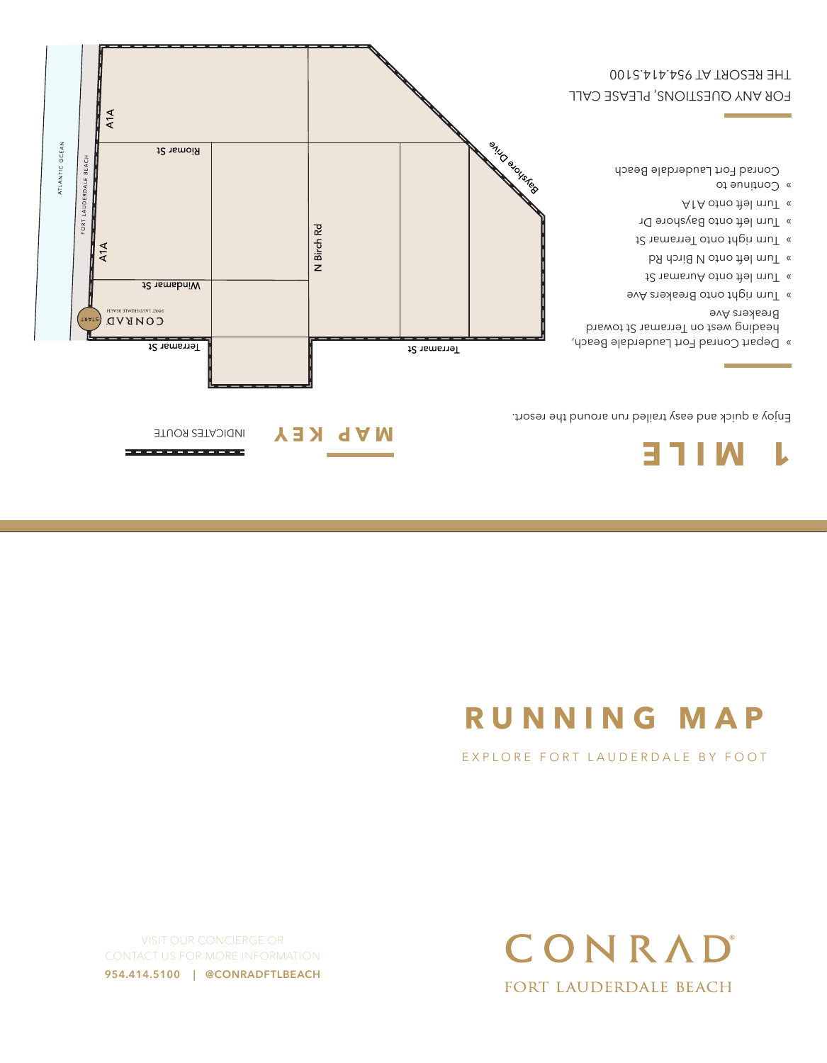VISIT OUR CONCIERGE OR CONTACT US FOR MORE INFORMATION **954.414.5100 | @CONRADFTLBEACH**



## EXPLORE FORT LAUDERDALE BY FOOT

# **RUNNING MAP**